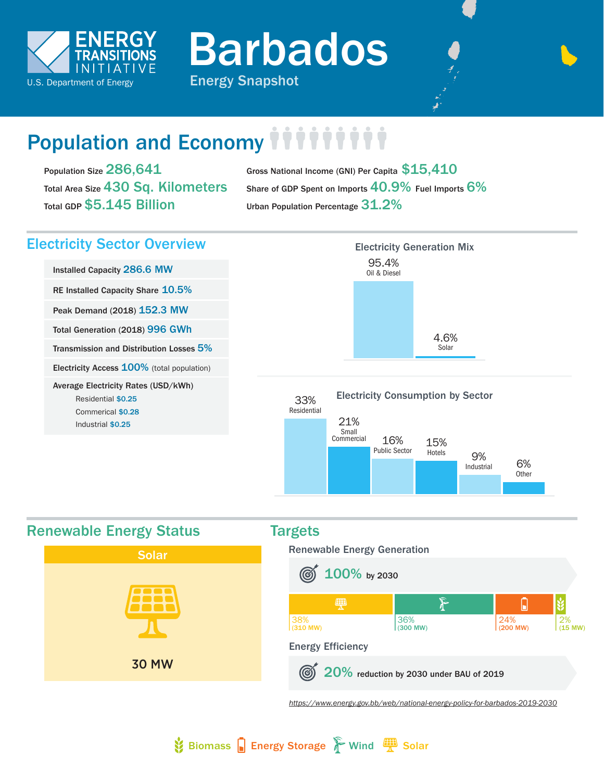

Barbados

# Population and Economy *iiiiiii*

Population Size 286,641 Total Area Size 430 Sq. Kilometers Total GDP \$5.145 Billion

Gross National Income (GNI) Per Capita  $$15,410$ Share of GDP Spent on Imports 40.9% Fuel Imports 6% Urban Population Percentage 31.2%

# Electricity Sector Overview

Installed Capacity 286.6 MW RE Installed Capacity Share 10.5% Peak Demand (2018) 152.3 MW Total Generation (2018) 996 GWh Transmission and Distribution Losses 5% Electricity Access 100% (total population) Average Electricity Rates (USD/kWh) Residential \$0.25 Commerical \$0.28 Industrial \$0.25







 $\frac{1}{2}$  Biomass  $\frac{1}{2}$  Energy Storage  $\frac{1}{2}$  Wind  $\frac{1000}{2}$  Solar